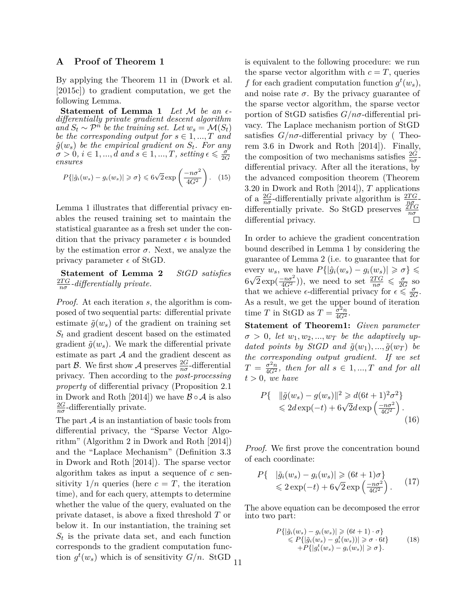## **A Proof of Theorem 1**

By applying the Theorem 11 in (Dwork et al. [2015c]) to gradient computation, we get the following Lemma.

**Statement of Lemma 1** *Let* M *be an differentially private gradient descent algorithm*  $a_n \circ B_t \sim \mathcal{P}^n$  be the training set. Let  $w_s = \mathcal{M}(S_t)$ *be the corresponding output for*  $s \in 1, ..., T$  *and*  $\hat{g}(w_s)$  *be the empirical gradient on*  $S_t$ *. For any*  $\sigma > 0, i \in 1, ..., d$  and  $s \in 1, ..., T$ , setting  $\epsilon \leqslant \frac{\sigma}{2d}$ 2*G ensures*

$$
P\{|\hat{g}_i(w_s) - g_i(w_s)| \geq \sigma\} \leq 6\sqrt{2} \exp\left(\frac{-n\sigma^2}{4G^2}\right). \quad (15)
$$

Lemma 1 illustrates that differential privacy enables the reused training set to maintain the statistical guarantee as a fresh set under the condition that the privacy parameter  $\epsilon$  is bounded by the estimation error  $\sigma$ . Next, we analyze the privacy parameter  $\epsilon$  of StGD.

**Statement of Lemma 2** *StGD satisfies* 2*T G nσ -differentially private.*

*Proof.* At each iteration *s*, the algorithm is composed of two sequential parts: differential private estimate  $\tilde{g}(w_s)$  of the gradient on training set  $S_t$  and gradient descent based on the estimated gradient  $\tilde{g}(w_s)$ . We mark the differential private estimate as part  $A$  and the gradient descent as part B. We first show A preserves  $\frac{2G}{n\sigma}$ -differential privacy. Then according to the *post-processing property* of differential privacy (Proposition 2.1 in Dwork and Roth [2014]) we have  $\mathcal{B} \circ \mathcal{A}$  is also 2*G*  $\frac{2G}{n\sigma}$ -differentially private.

The part  $\mathcal A$  is an instantiation of basic tools from differential privacy, the "Sparse Vector Algorithm" (Algorithm 2 in Dwork and Roth [2014]) and the "Laplace Mechanism" (Definition 3.3 in Dwork and Roth [2014]). The sparse vector algorithm takes as input a sequence of *c* sensitivity  $1/n$  queries (here  $c = T$ , the iteration time), and for each query, attempts to determine whether the value of the query, evaluated on the private dataset, is above a fixed threshold *T* or below it. In our instantiation, the training set  $S_t$  is the private data set, and each function corresponds to the gradient computation function  $g^t(w_s)$  which is of sensitivity  $G/n$ . StGD

is equivalent to the following procedure: we run the sparse vector algorithm with  $c = T$ , queries *f* for each gradient computation function  $g^t(w_s)$ , and noise rate  $\sigma$ . By the privacy guarantee of the sparse vector algorithm, the sparse vector portion of StGD satisfies *G/nσ*-differential privacy. The Laplace mechanism portion of StGD satisfies  $G/n\sigma$ -differential privacy by (Theorem 3.6 in Dwork and Roth [2014]). Finally, the composition of two mechanisms satisfies  $\frac{2G}{n\sigma}$ differential privacy. After all the iterations, by the advanced composition theorem (Theorem 3.20 in Dwork and Roth [2014]), *T* applications of a  $\frac{2G}{n\sigma}$ -differentially private algorithm is  $\frac{2TG}{nG}$ differentially private. So StGD preserves  $\frac{2\widetilde{T}G}{n\sigma}$ <br>differential privacy.

In order to achieve the gradient concentration bound described in Lemma 1 by considering the guarantee of Lemma 2 (i.e. to guarantee that for every  $w_s$ , we have  $P\{|\hat{g}_i(w_s) - g_i(w_s)| \geq \sigma\} \leq$ 6 √  $\sqrt{2} \exp\left(\frac{-n\sigma^2}{4G^2}\right)$ , we need to set  $\frac{2TG}{n\sigma} \leq \frac{\sigma}{2G}$  $\frac{\sigma}{2G}$  so that we achieve  $\epsilon$ -differential privacy for  $\epsilon \leq \frac{\sigma}{2\epsilon}$  $\frac{\sigma}{2G}$ . As a result, we get the upper bound of iteration time *T* in StGD as  $T = \frac{\sigma^2 n}{4G^2}$ .

**Statement of Theorem1:** *Given parameter*  $\sigma > 0$ , let  $w_1, w_2, ..., w_T$  be the adaptively up*dated points by StGD and*  $\tilde{g}(w_1), ..., \tilde{g}(w_T)$  *be the corresponding output gradient. If we set*  $T = \frac{\sigma^2 n}{4G^2}$ , then for all  $s \in 1, ..., T$  and for all  $t > 0$ *, we have* 

$$
P\{\n\|\|\tilde{g}(w_s) - g(w_s)\|^2 \geq d(6t+1)^2\sigma^2\}\n\leq 2d\exp(-t) + 6\sqrt{2}d\exp\left(\frac{-n\sigma^2}{4G^2}\right).
$$
\n(16)

*Proof.* We first prove the concentration bound of each coordinate:

$$
P\{\quad |\tilde{g}_i(w_s) - g_i(w_s)| \geq (6t+1)\sigma\}
$$
  
\$\leq 2 \exp(-t) + 6\sqrt{2} \exp\left(\frac{-n\sigma^2}{4G^2}\right).\$ (17)

The above equation can be decomposed the error into two part:

$$
P\{|\tilde{g}_i(w_s) - g_i(w_s)| \geq (6t+1) \cdot \sigma\}
$$
  
\n
$$
\leq P\{|\tilde{g}_i(w_s) - g_i^t(w_s)| \geq \sigma \cdot 6t\}
$$
  
\n
$$
+P\{|g_i^t(w_s) - g_i(w_s)| \geq \sigma\}.
$$
\n(18)

11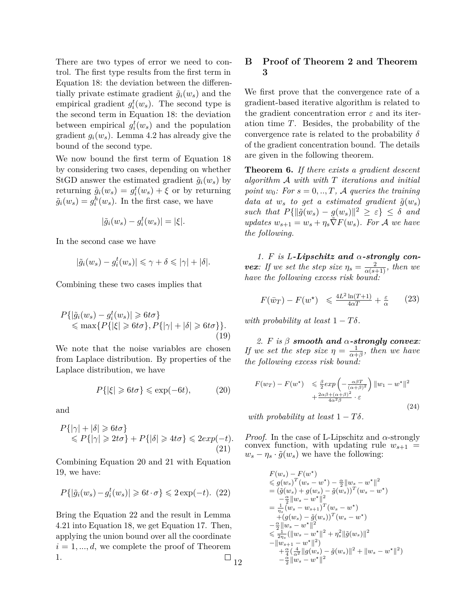There are two types of error we need to control. The first type results from the first term in Equation 18: the deviation between the differentially private estimate gradient  $\tilde{g}_i(w_s)$  and the empirical gradient  $g_i^t(w_s)$ . The second type is the second term in Equation 18: the deviation between empirical  $g_i^t(w_s)$  and the population gradient  $g_i(w_s)$ . Lemma 4.2 has already give the bound of the second type.

We now bound the first term of Equation 18 by considering two cases, depending on whether StGD answer the estimated gradient  $\tilde{q}_i(w_s)$  by returning  $\tilde{g}_i(w_s) = g_i^t(w_s) + \xi$  or by returning  $\tilde{g}_i(w_s) = g_i^h(w_s)$ . In the first case, we have

$$
|\tilde{g}_i(w_s) - g_i^t(w_s)| = |\xi|.
$$

In the second case we have

$$
|\tilde{g}_i(w_s) - g_i^t(w_s)| \leq \gamma + \delta \leq |\gamma| + |\delta|.
$$

Combining these two cases implies that

$$
P\{|\tilde{g}_i(w_s) - g_i^t(w_s)| \geq 6t\sigma\}
$$
  
\$\leq\$ max{ $P\{|\xi| \geq 6t\sigma\}$ ,  $P\{|\gamma| + |\delta| \geq 6t\sigma\}$ }.  
(19)

We note that the noise variables are chosen from Laplace distribution. By properties of the Laplace distribution, we have

$$
P\{|\xi| \ge 6t\sigma\} \le \exp(-6t),\tag{20}
$$

and

$$
P\{|\gamma| + |\delta| \ge 6t\sigma\}
$$
  
\$\le P\{|\gamma| \ge 2t\sigma\} + P\{|\delta| \ge 4t\sigma\} \le 2exp(-t).\$ (21)

Combining Equation 20 and 21 with Equation 19, we have:

$$
P\{|\tilde{g}_i(w_s) - g_i^t(w_s)| \geq 6t \cdot \sigma\} \leq 2\exp(-t). (22)
$$

Bring the Equation 22 and the result in Lemma 4.21 into Equation 18, we get Equation 17. Then, applying the union bound over all the coordinate  $i = 1, \ldots, d$ , we complete the proof of Theorem 1.  $\Box$   $_{12}$ 

## **B Proof of Theorem 2 and Theorem 3**

We first prove that the convergence rate of a gradient-based iterative algorithm is related to the gradient concentration error *ε* and its iteration time *T*. Besides, the probability of the convergence rate is related to the probability *δ* of the gradient concentration bound. The details are given in the following theorem.

**Theorem 6.** *If there exists a gradient descent algorithm* A *with with T iterations and initial point*  $w_0$ *:* For  $s = 0, \ldots, T$ , A queries the training *data at*  $w_s$  *to get a estimated gradient*  $\tilde{g}(w_s)$  $\int \sinh h \, dt \, P\{\|\tilde{g}(w_s) - g(w_s)\|^2 \geq \varepsilon\} \leq \delta$  *and*  $\omega_{s+1} = w_s + \eta_s \tilde{\nabla} F(w_s)$ *. For* A *we have the following.*

*1. F is L-Lipschitz and α-strongly convex:* If we set the step size  $\eta_s = \frac{2}{\alpha(s+1)}$ , then we *have the following excess risk bound:*

$$
F(\bar{w}_T) - F(w^*) \leq \frac{4L^2 \ln(T+1)}{4\alpha T} + \frac{\varepsilon}{\alpha} \qquad (23)
$$

*with probability at least*  $1 - T\delta$ *.* 

*2. F is β smooth and α-strongly convex: If we set the step size*  $\eta = \frac{1}{\alpha + \frac{1}{\alpha}}$  $\frac{1}{\alpha+\beta}$ *, then we have the following excess risk bound:*

$$
F(w_T) - F(w^*) \leq \frac{\beta}{2} exp\left(-\frac{\alpha\beta T}{(\alpha+\beta)^2}\right) ||w_1 - w^*||^2
$$
  
 
$$
+ \frac{2\alpha\beta + (\alpha+\beta)^2}{4\alpha^2\beta} \cdot \varepsilon
$$
 (24)

*with probability at least*  $1 - T\delta$ *.* 

*Proof.* In the case of L-Lipschitz and *α*-strongly convex function, with updating rule  $w_{s+1}$  =  $w_s - \eta_s \cdot \tilde{g}(w_s)$  we have the following:

$$
F(w_s) - F(w^*)
$$
  
\n
$$
\leq g(w_s)^T(w_s - w^*) - \frac{\alpha}{2} ||w_s - w^*||^2
$$
  
\n
$$
= (\bar{g}(w_s) + g(w_s) - \tilde{g}(w_s))^T(w_s - w^*)
$$
  
\n
$$
- \frac{\alpha}{2} ||w_s - w^*||^2
$$
  
\n
$$
= \frac{1}{\eta_s} (w_s - w_{s+1})^T (w_s - w^*)
$$
  
\n
$$
+ (g(w_s) - \tilde{g}(w_s))^T (w_s - w^*)
$$
  
\n
$$
- \frac{\alpha}{2} ||w_s - w^*||^2
$$
  
\n
$$
\leq \frac{1}{2\eta_s} (||w_s - w^*||^2 + \eta_s^2 ||\tilde{g}(w_s)||^2
$$
  
\n
$$
- ||w_{s+1} - w^*||^2)
$$
  
\n
$$
+ \frac{\alpha}{4} (\frac{4}{\alpha^2} ||g(w_s) - \tilde{g}(w_s)||^2 + ||w_s - w^*||^2)
$$
  
\n
$$
- \frac{\alpha}{2} ||w_s - w^*||^2
$$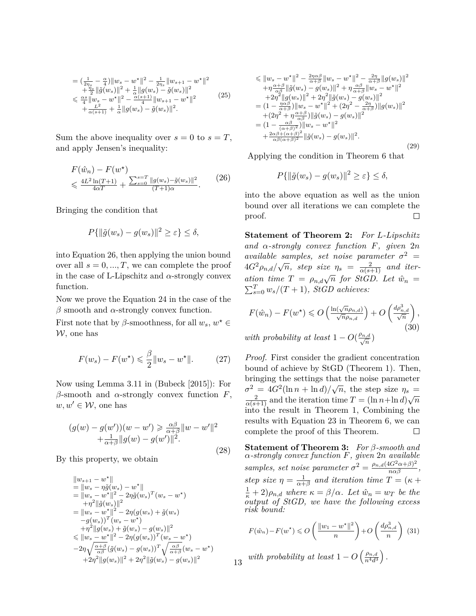$$
\begin{split} &= \left(\frac{1}{2\eta_s} - \frac{\alpha}{4}\right) \lVert w_s - w^\star \rVert^2 - \frac{1}{2\eta_s} \lVert w_{s+1} - w^\star \rVert^2 \\ &+ \frac{\eta_s}{2} \lVert \tilde{g}(w_s) \rVert^2 + \frac{1}{\alpha} \lVert g(w_s) - \tilde{g}(w_s) \rVert^2 \\ &\leq \frac{\alpha s}{4} \lVert w_s - w^\star \rVert^2 - \frac{\alpha(s+1)}{4} \lVert w_{s+1} - w^\star \rVert^2 \\ &+ \frac{L^2}{\alpha(s+1)} + \frac{1}{\alpha} \lVert g(w_s) - \tilde{g}(w_s) \rVert^2. \end{split} \tag{25}
$$

Sum the above inequality over  $s = 0$  to  $s = T$ , and apply Jensen's inequality:

$$
F(\hat{w}_n) - F(w^*)
$$
  
\$\leq \frac{4L^2 \ln(T+1)}{4\alpha T} + \frac{\sum\_{s=0}^{s=T} ||g(w\_s) - \tilde{g}(w\_s)||^2}{(T+1)\alpha}.\$ (26)

Bringing the condition that

$$
P\{\|\tilde{g}(w_s) - g(w_s)\|^2 \ge \varepsilon\} \le \delta,
$$

into Equation 26, then applying the union bound over all  $s = 0, ..., T$ , we can complete the proof in the case of L-Lipschitz and  $\alpha$ -strongly convex function.

Now we prove the Equation 24 in the case of the *β* smooth and *α*-strongly convex function.

First note that by  $\beta$ -smoothness, for all  $w_s, w^* \in$  $W$ , one has

$$
F(w_s) - F(w^\star) \leq \frac{\beta}{2} \|w_s - w^\star\|.
$$
 (27)

Now using Lemma 3.11 in (Bubeck [2015]): For *β*-smooth and *α*-strongly convex function *F*,  $w, w' \in \mathcal{W}$ , one has

$$
(g(w) - g(w'))(w - w') \geq \frac{\alpha \beta}{\alpha + \beta} ||w - w'||^2
$$
  
 
$$
+ \frac{1}{\alpha + \beta} ||g(w) - g(w')||^2.
$$
 (28)

By this property, we obtain

$$
\|w_{s+1} - w^*\| \n= \|w_s - \eta \tilde{g}(w_s) - w^*\| \n= \|w_s - w^*\|^2 - 2\eta \tilde{g}(w_s)^T (w_s - w^*) \n+ \eta^2 \|\tilde{g}(w_s)\|^2 \n= \|w_s - w^*\|^2 - 2\eta (g(w_s) + \tilde{g}(w_s) \n- g(w_s))^T (w_s - w^*) \n+ \eta^2 \|g(w_s) + \tilde{g}(w_s) - g(w_s)\|^2 \n\leq \|w_s - w^*\|^2 - 2\eta (g(w_s))^T (w_s - w^*) \n- 2\eta \sqrt{\frac{\alpha + \beta}{\alpha \beta}} (\tilde{g}(w_s) - g(w_s))^T \sqrt{\frac{\alpha \beta}{\alpha + \beta}} (w_s - w^*) \n+ 2\eta^2 \|g(w_s)\|^2 + 2\eta^2 \|\tilde{g}(w_s) - g(w_s)\|^2
$$

$$
\leq \|w_s - w^{\star}\|^2 - \frac{2\eta\alpha\beta}{\alpha+\beta} \|w_s - w^{\star}\|^2 - \frac{2\eta}{\alpha+\beta} \|g(w_s)\|^2 + \eta \frac{\alpha+\beta}{\alpha\beta} \|\tilde{g}(w_s) - g(w_s)\|^2 + \eta \frac{\alpha\beta}{\alpha+\beta} \|w_s - w^{\star}\|^2 + 2\eta^2 \|g(w_s)\|^2 + 2\eta^2 \|\tilde{g}(w_s) - g(w_s)\|^2 = (1 - \frac{\eta\alpha\beta}{\alpha+\beta}) \|w_s - w^{\star}\|^2 + (2\eta^2 - \frac{2\eta}{\alpha+\beta}) \|g(w_s)\|^2 + (2\eta^2 + \eta \frac{\alpha+\beta}{\alpha\beta}) \|\tilde{g}(w_s) - g(w_s)\|^2 = (1 - \frac{\alpha\beta}{(\alpha+\beta)^2}) \|w_s - w^{\star}\|^2 + \frac{2\alpha\beta+(\alpha+\beta)^2}{\alpha\beta(\alpha+\beta)^2} \|\tilde{g}(w_s) - g(w_s)\|^2.
$$
\n(29)

Applying the condition in Theorem 6 that

$$
P\{\|\tilde{g}(w_s) - g(w_s)\|^2 \ge \varepsilon\} \le \delta,
$$

into the above equation as well as the union bound over all iterations we can complete the proof.  $\Box$ 

**Statement of Theorem 2:** *For L-Lipschitz and α-strongly convex function F, given* 2*n available samples, set noise parameter*  $\sigma^2$  =  $4G^2 \rho_{n,d}/\sqrt{n}$ , step size  $\eta_s = \frac{2}{\alpha(s+1)}$  and iter*ation time*  $T = \rho_{n,d}\sqrt{n}$  *for StGD. Let*  $\hat{w}_n =$  $\sum_{s=0}^{T} w_s/(T+1)$ *, StGD achieves:* 

$$
F(\hat{w}_n) - F(w^\star) \leqslant O\left(\frac{\ln(\sqrt{n}\rho_{n,d})}{\sqrt{n}\rho_{n,d}}\right) + O\left(\frac{d\rho_{n,d}^3}{\sqrt{n}}\right),\tag{30}
$$

*with probability at least*  $1 - O(\frac{\rho_{n,d}}{\sqrt{n}})$ 

*Proof.* First consider the gradient concentration bound of achieve by StGD (Theorem 1). Then, bringing the settings that the noise parameter *σ*<sup>2</sup> =  $4G^2(\ln n + \ln d)/\sqrt{n}$ , the step size *η<sub>s</sub>* =  $\frac{2}{\alpha(s+1)}$  and the iteration time *T* =  $(\ln n + \ln d)\sqrt{n}$ into the result in Theorem 1, Combining the results with Equation 23 in Theorem 6, we can complete the proof of this Theorem.  $\Box$ 

**Statement of Theorem 3:** *For β-smooth and α-strongly convex function F, given* 2*n available samples, set noise parameter*  $\sigma^2 = \frac{\rho_{n,d}(4G^2\alpha+\beta)^2}{n\alpha\beta}$ , *step size*  $\eta = \frac{1}{\alpha + \frac{1}{\alpha}}$  $\frac{1}{\alpha+\beta}$  and iteration time  $T = (\kappa + \beta)$  $(\frac{1}{\kappa} + 2)\rho_{n,d}$  where  $\kappa = \beta/\alpha$ . Let  $\hat{w}_n = w_T$  be the *output of StGD, we have the following excess risk bound:*

$$
F(\hat{w}_n) - F(w^*) \leqslant O\left(\frac{\|w_1 - w^*\|^2}{n}\right) + O\left(\frac{d\rho_{n,d}^3}{n}\right)
$$
 (31)  
with probability at least  $1 - O\left(\frac{\rho_{n,d}}{n^4 d^3}\right)$ .

13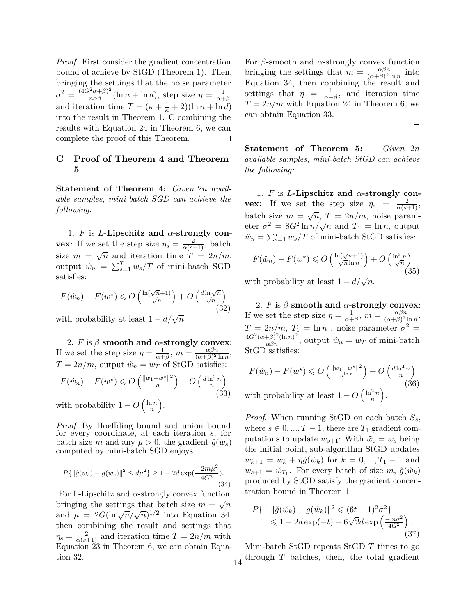*Proof.* First consider the gradient concentration bound of achieve by StGD (Theorem 1). Then, bringing the settings that the noise parameter  $\sigma^2 = \frac{(4G^2\alpha+\beta)^2}{n\alpha\beta}(\ln n + \ln d)$ , step size  $\eta = \frac{1}{\alpha+\beta}$ *α*+*β* and iteration time  $T = (\kappa + \frac{1}{\kappa} + 2)(\ln n + \ln d)$ into the result in Theorem 1. C combining the results with Equation 24 in Theorem 6, we can complete the proof of this Theorem.  $\Box$ 

## **C Proof of Theorem 4 and Theorem 5**

**Statement of Theorem 4:** *Given* 2*n available samples, mini-batch SGD can achieve the following:*

1. *F* is *L***-Lipschitz and**  $\alpha$ **-strongly convex**: If we set the step size  $\eta_s = \frac{2}{\alpha(s+1)}$ , batch size  $m = \sqrt{n}$  and iteration time  $T = 2n/m$ , output  $\hat{w}_n = \sum_{s=1}^T w_s / T$  of mini-batch SGD satisfies:

$$
F(\hat{w}_n) - F(w^\star) \leqslant O\left(\frac{\ln(\sqrt{n}+1)}{\sqrt{n}}\right) + O\left(\frac{d\ln\sqrt{n}}{\sqrt{n}}\right)
$$
\n(32)

with probability at least  $1 - d/\sqrt{n}$ .

2. *F* is  $\beta$  **smooth and**  $\alpha$ **-strongly convex**: If we set the step size  $\eta = \frac{1}{\alpha + \frac{1}{\alpha}}$  $\frac{1}{\alpha+\beta}$ ,  $m = \frac{\alpha\beta n}{(\alpha+\beta)^2}$  $\frac{\alpha\beta n}{(\alpha+\beta)^2\ln n},$  $T = 2n/m$ , output  $\hat{w}_n = w_T$  of StGD satisfies:

$$
F(\hat{w}_n) - F(w^\star) \leqslant O\left(\frac{\|w_1 - w^\star\|^2}{n}\right) + O\left(\frac{d\ln^2 n}{n}\right)
$$
\n(33)

with probability  $1 - O\left(\frac{\ln n}{n}\right)$  $\frac{2n}{n}$ .

*Proof.* By Hoeffding bound and union bound for every coordinate, at each iteration *s*, for batch size *m* and any  $\mu > 0$ , the gradient  $\hat{g}(w_s)$ computed by mini-batch SGD enjoys

$$
P\{\|\hat{g}(w_s) - g(w_s)\|^2 \le d\mu^2\} \ge 1 - 2d \exp(\frac{-2m\mu^2}{4G^2}).
$$
\n(34)

For L-Lipschitz and  $\alpha$ -strongly convex function, bringing the settings that batch size  $m = \sqrt{n}$ and  $\mu = 2G(\ln \sqrt{n}/\sqrt{n})^{1/2}$  into Equation 34, then combining the result and settings that  $\eta_s = \frac{2}{\alpha(s+1)}$  and iteration time  $T = 2n/m$  with Equation 23 in Theorem 6, we can obtain Equation 32.

For *β*-smooth and *α*-strongly convex function bringing the settings that  $m = \frac{\alpha \beta n}{(\alpha + \beta)^2}$  $\frac{\alpha \beta n}{(\alpha + \beta)^2 \ln n}$  into Equation 34, then combining the result and settings that  $\eta = \frac{1}{\alpha^+}$  $\frac{1}{\alpha+\beta}$ , and iteration time  $T = 2n/m$  with Equation 24 in Theorem 6, we can obtain Equation 33.

 $\Box$ 

**Statement of Theorem 5:** *Given* 2*n available samples, mini-batch StGD can achieve the following:*

1. *F* is *L***-Lipschitz and** *α***-strongly convex**: If we set the step size  $\eta_s = \frac{2}{\alpha(s+1)}$ , batch size  $m = \sqrt{n}, T = 2n/m$ , noise parambatch size  $m = \sqrt{n}$ ,  $T = 2n/m$ , holse parameter  $\sigma^2 = 8G^2 \ln n / \sqrt{n}$  and  $T_1 = \ln n$ , output  $\hat{w}_n = \sum_{s=1}^T w_s / T$  of mini-batch StGD satisfies:

$$
F(\hat{w}_n) - F(w^\star) \leqslant O\left(\frac{\ln(\sqrt{n+1})}{\sqrt{n}\ln n}\right) + O\left(\frac{\ln^3 n}{\sqrt{n}}\right)
$$
\n(35)

with probability at least  $1 - d/\sqrt{n}$ .

2. *F* is  $\beta$  **smooth and**  $\alpha$ -strongly convex: If we set the step size  $\eta = \frac{1}{\alpha + \frac{1}{\alpha}}$  $\frac{1}{\alpha+\beta}$ ,  $m = \frac{\alpha\beta n}{(\alpha+\beta)^2}$  $\frac{\alpha\beta n}{(\alpha+\beta)^2\ln n},$  $T = 2n/m$ ,  $T_1 = \ln n$ , noise parameter  $\sigma^2 =$  $\frac{4G^2(\alpha+\beta)^2(\ln n)^2}{\alpha\beta n}$ , output  $\hat{w}_n = w_T$  of mini-batch StGD satisfies:

$$
F(\hat{w}_n) - F(w^\star) \leqslant O\left(\frac{\|w_1 - w^\star\|^2}{n^{\ln n}}\right) + O\left(\frac{d\ln^4 n}{n}\right)
$$
\n(36)

with probability at least  $1 - O\left(\frac{\ln^2 n}{n}\right)$  $\frac{2n}{n}$ .

*Proof.* When running StGD on each batch *Ss*, where  $s \in 0, ..., T - 1$ , there are  $T_1$  gradient computations to update  $w_{s+1}$ : With  $\tilde{w}_0 = w_s$  being the initial point, sub-algorithm StGD updates  $\tilde{w}_{k+1} = \tilde{w}_k + \eta \tilde{g}(\tilde{w}_k)$  for  $k = 0, ..., T_1 - 1$  and  $w_{s+1} = \tilde{w}_{T_1}$ . For every batch of size *m*,  $\tilde{g}(\tilde{w}_k)$ produced by StGD satisfy the gradient concentration bound in Theorem 1

$$
P\{\n\|\|\tilde{g}(\tilde{w}_k) - g(\tilde{w}_k)\|^2 \leq (6t+1)^2 \sigma^2\}\n\leq 1 - 2d \exp(-t) - 6\sqrt{2}d \exp\left(\frac{-m\sigma^2}{4G^2}\right).
$$
\n(37)

Mini-batch StGD repeats StGD *T* times to go  $14$ <sup>through *T* batches, then, the total gradient</sup>